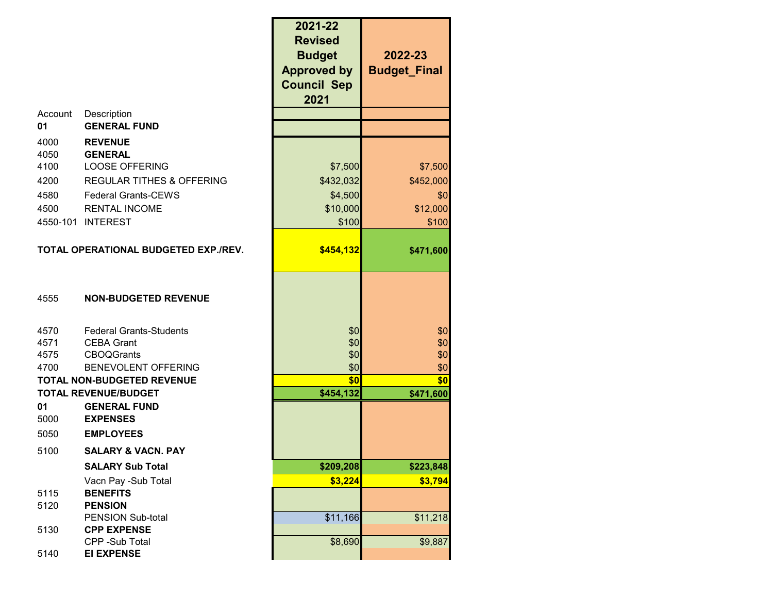|                                              |                                                                                                                                                                              | 2021-22<br><b>Revised</b><br><b>Budget</b><br><b>Approved by</b><br><b>Council Sep</b><br>2021 | 2022-23<br><b>Budget Final</b>                   |
|----------------------------------------------|------------------------------------------------------------------------------------------------------------------------------------------------------------------------------|------------------------------------------------------------------------------------------------|--------------------------------------------------|
| Account<br>01                                | Description<br><b>GENERAL FUND</b>                                                                                                                                           |                                                                                                |                                                  |
| 4000<br>4050<br>4100<br>4200<br>4580<br>4500 | <b>REVENUE</b><br><b>GENERAL</b><br><b>LOOSE OFFERING</b><br><b>REGULAR TITHES &amp; OFFERING</b><br><b>Federal Grants-CEWS</b><br><b>RENTAL INCOME</b><br>4550-101 INTEREST | \$7,500<br>\$432,032<br>\$4,500<br>\$10,000<br>\$100                                           | \$7,500<br>\$452,000<br>\$0<br>\$12,000<br>\$100 |
|                                              | TOTAL OPERATIONAL BUDGETED EXP./REV.                                                                                                                                         | \$454,132                                                                                      | \$471,600                                        |
| 4555                                         | <b>NON-BUDGETED REVENUE</b>                                                                                                                                                  |                                                                                                |                                                  |
| 4570<br>4571<br>4575<br>4700                 | <b>Federal Grants-Students</b><br><b>CEBA Grant</b><br><b>CBOQGrants</b><br><b>BENEVOLENT OFFERING</b>                                                                       | \$0<br>\$0<br>\$0<br>\$0                                                                       | \$0<br>\$0<br>\$0<br>\$0                         |
|                                              | <b>TOTAL NON-BUDGETED REVENUE</b><br><b>TOTAL REVENUE/BUDGET</b>                                                                                                             | \$0<br>\$454,132                                                                               | \$0<br>\$471,600                                 |
| 01<br>5000<br>5050                           | <b>GENERAL FUND</b><br><b>EXPENSES</b><br><b>EMPLOYEES</b>                                                                                                                   |                                                                                                |                                                  |
| 5100                                         | <b>SALARY &amp; VACN. PAY</b>                                                                                                                                                |                                                                                                |                                                  |
| 5115<br>5120                                 | <b>SALARY Sub Total</b><br>Vacn Pay -Sub Total<br><b>BENEFITS</b><br><b>PENSION</b>                                                                                          | \$209,208<br>\$3,224                                                                           | \$223,848<br>\$3,794                             |
| 5130                                         | PENSION Sub-total<br><b>CPP EXPENSE</b><br>CPP -Sub Total                                                                                                                    | \$11,166<br>\$8,690                                                                            | \$11,218<br>\$9,887                              |
| 5140                                         | <b>EI EXPENSE</b>                                                                                                                                                            |                                                                                                |                                                  |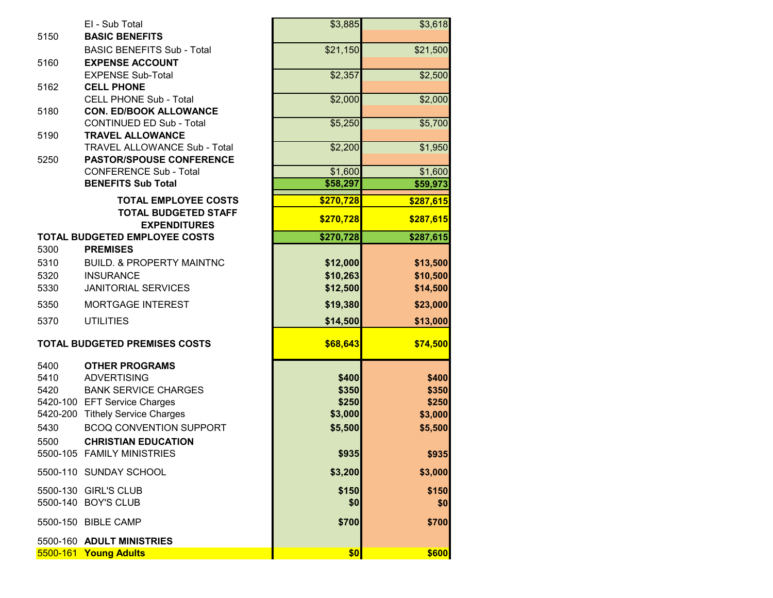|                                      | El - Sub Total                                             | \$3,885   | \$3,618      |
|--------------------------------------|------------------------------------------------------------|-----------|--------------|
| 5150                                 | <b>BASIC BENEFITS</b>                                      |           |              |
|                                      | <b>BASIC BENEFITS Sub - Total</b>                          | \$21,150  | \$21,500     |
| 5160                                 | <b>EXPENSE ACCOUNT</b>                                     |           |              |
|                                      | <b>EXPENSE Sub-Total</b>                                   | \$2,357   | \$2,500      |
| 5162                                 | <b>CELL PHONE</b>                                          |           |              |
|                                      | <b>CELL PHONE Sub - Total</b>                              | \$2,000   | \$2,000      |
| 5180                                 | <b>CON. ED/BOOK ALLOWANCE</b>                              |           |              |
|                                      | <b>CONTINUED ED Sub - Total</b>                            | \$5,250   | \$5,700      |
| 5190                                 | <b>TRAVEL ALLOWANCE</b><br>TRAVEL ALLOWANCE Sub - Total    | \$2,200   |              |
| 5250                                 | <b>PASTOR/SPOUSE CONFERENCE</b>                            |           | \$1,950      |
|                                      | <b>CONFERENCE Sub - Total</b>                              | \$1,600   | \$1,600      |
|                                      | <b>BENEFITS Sub Total</b>                                  | \$58,297  | \$59,973     |
|                                      |                                                            |           |              |
|                                      | <b>TOTAL EMPLOYEE COSTS</b><br><b>TOTAL BUDGETED STAFF</b> | \$270,728 | \$287,615    |
|                                      | <b>EXPENDITURES</b>                                        | \$270,728 | \$287,615    |
|                                      | <b>TOTAL BUDGETED EMPLOYEE COSTS</b>                       | \$270,728 | \$287,615    |
| 5300                                 | <b>PREMISES</b>                                            |           |              |
| 5310                                 | <b>BUILD. &amp; PROPERTY MAINTNC</b>                       | \$12,000  | \$13,500     |
| 5320                                 | <b>INSURANCE</b>                                           | \$10,263  | \$10,500     |
| 5330                                 | <b>JANITORIAL SERVICES</b>                                 | \$12,500  | \$14,500     |
| 5350                                 | <b>MORTGAGE INTEREST</b>                                   | \$19,380  | \$23,000     |
| 5370                                 | <b>UTILITIES</b>                                           | \$14,500  | \$13,000     |
| <b>TOTAL BUDGETED PREMISES COSTS</b> |                                                            | \$68,643  | \$74,500     |
| 5400                                 | <b>OTHER PROGRAMS</b>                                      |           |              |
| 5410                                 | <b>ADVERTISING</b>                                         | \$400     | \$400        |
| 5420                                 | <b>BANK SERVICE CHARGES</b>                                | \$350     | \$350        |
|                                      | 5420-100 EFT Service Charges                               | \$250     | \$250        |
|                                      | 5420-200 Tithely Service Charges                           | \$3,000   | \$3,000      |
| 5430                                 | <b>BCOQ CONVENTION SUPPORT</b>                             | \$5,500   | \$5,500      |
| 5500                                 | <b>CHRISTIAN EDUCATION</b>                                 |           |              |
|                                      | 5500-105 FAMILY MINISTRIES                                 | \$935     | <b>\$935</b> |
|                                      | 5500-110 SUNDAY SCHOOL                                     | \$3,200   | \$3,000      |
|                                      | 5500-130 GIRL'S CLUB                                       | \$150     | \$150        |
|                                      | 5500-140 BOY'S CLUB                                        | \$0       | \$0          |
|                                      | 5500-150 BIBLE CAMP                                        | \$700     | \$700        |
|                                      | 5500-160 ADULT MINISTRIES                                  |           |              |
|                                      | 5500-161 Young Adults                                      | \$0       | \$600        |